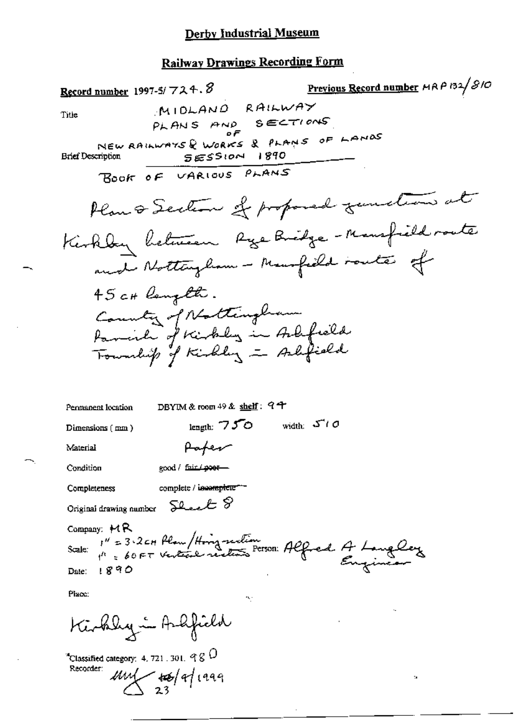### Derby Industrial Museum

# Railway Drawings Recording Form

| Previous Record number MAP 132/810<br><u>Record number</u> 1997-5/724.8                               |
|-------------------------------------------------------------------------------------------------------|
| MIDLAND RAILWAY<br>Title                                                                              |
| PLANS AND SECTIONS                                                                                    |
| NEW RAINWAYS & WORKS & PLANS OF LANDS<br><b>SESSION 1890</b><br>Brief Description                     |
| BOOK OF VARIOUS PLANS                                                                                 |
| Plan & Section of proposed function at                                                                |
| Kirkby between Rye Bridge - Mansfield route                                                           |
| and Nottingham - Manfield route of                                                                    |
| 45 cH langelt.                                                                                        |
| Country of Nottingham                                                                                 |
| Parish of Kirkley in Arlifield                                                                        |
| Township of Kirkley - Aslifield                                                                       |
|                                                                                                       |
| DBYIM & room 49 & shelf: $94$<br>Permanent location                                                   |
| width: $5^{\prime\prime}$ / 0<br>length: $750$<br>Dimensions (mm)                                     |
| Pafer<br>Material                                                                                     |
| Condition<br>good / fair / poor-                                                                      |
| complete / issuent plete <sup>-1</sup><br>Completeness                                                |
| Original drawing number $\sum_{k=1}^{\infty}$                                                         |
| Company: $H$ R                                                                                        |
| 1" = 3.2cm Plan / Hong recetion .<br>1" = 60FT ventical recetions Person: Alfred A Langelez<br>Scale: |
| Date: $1890$                                                                                          |
| Place:                                                                                                |
| Kirkly in Andfield                                                                                    |

 $\mathbf{h}$ 

 $^4$  Classified category: 4, 721, 301,  $\leq \otimes$   $\dot{\bigcirc}$  $\frac{\mu\mu}{23}$   $\frac{12}{23}$ Recorder: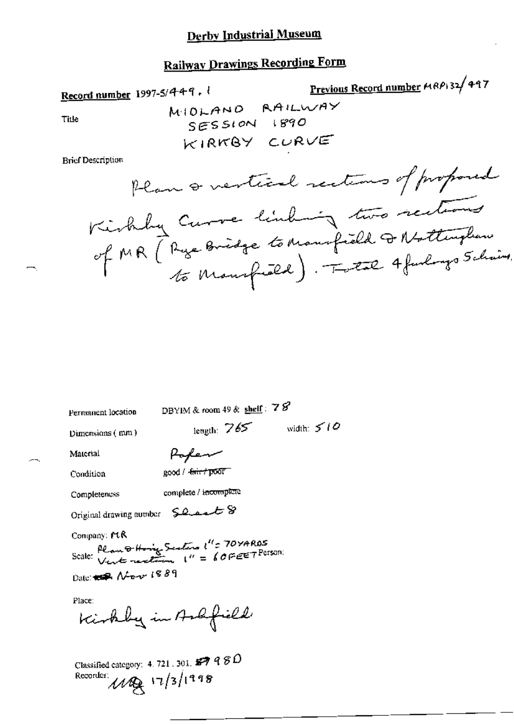#### Derby Industrial Museum

### **Railway Drawings Recording Form**

Previous Record number MRP132 497 Record number 1997-5/449, b MIOLAND RAILWAY SESSION 1890 Title KIRKBY CURVE **Brief Description** Plan & vertical rections of proposed

| Permanent location | DBYIM & room 49 & shelf: $78$ |                  |
|--------------------|-------------------------------|------------------|
| Dimensions $(mn)$  | length: $765$                 | width: $\leq$ 10 |

Dimensions (mm)

Material

Popen good / fair / poor

Condition

Completeness

complete / incomplete

Original drawing number  $\sum_{n=1}^{\infty}$ 

Company: PLR

Scale: Plan & Hong Senting  $l'' = 70 \text{YAROS}$ <br>Scale: Vent receiver  $l'' = 60 \text{PEET}$ Person: Date: CR Nov 1889

Place:

Kirkby in Andfield

Classified category: 4, 721, 301,  $\mathcal{GP} \subset \mathcal{SD}$ Recorder:  $17/3/1998$